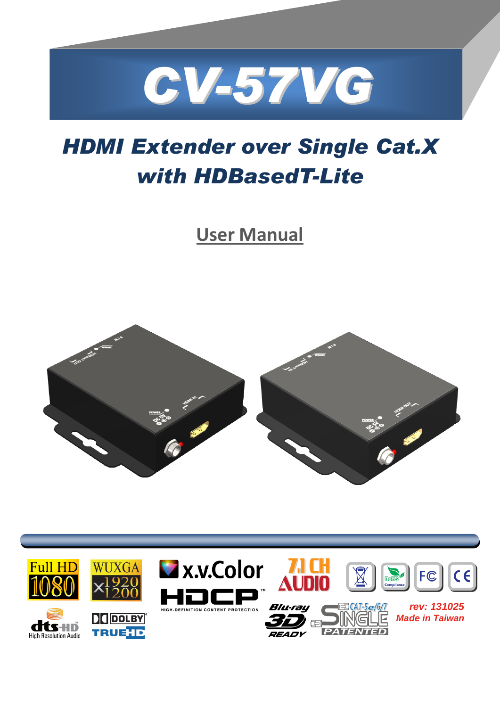

# *HDMI Extender over Single Cat.X with HDBasedT-Lite*

**User Manual**



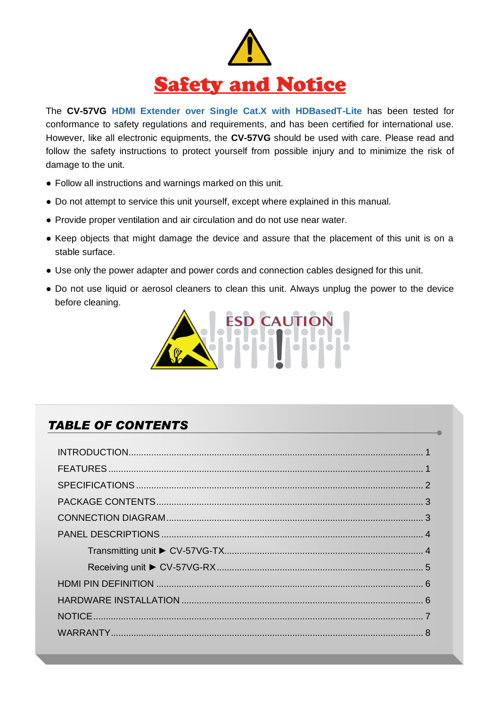

The **CV-57VG HDMI Extender over Single Cat.X with HDBasedT-Lite** has been tested for conformance to safety regulations and requirements, and has been certified for international use. However, like all electronic equipments, the **CV-57VG** should be used with care. Please read and follow the safety instructions to protect yourself from possible injury and to minimize the risk of damage to the unit.

- Follow all instructions and warnings marked on this unit.
- Do not attempt to service this unit yourself, except where explained in this manual.
- Provide proper ventilation and air circulation and do not use near water.
- Keep objects that might damage the device and assure that the placement of this unit is on a stable surface.
- Use only the power adapter and power cords and connection cables designed for this unit.
- Do not use liquid or aerosol cleaners to clean this unit. Always unplug the power to the device before cleaning.



#### *TABLE OF CONTENTS*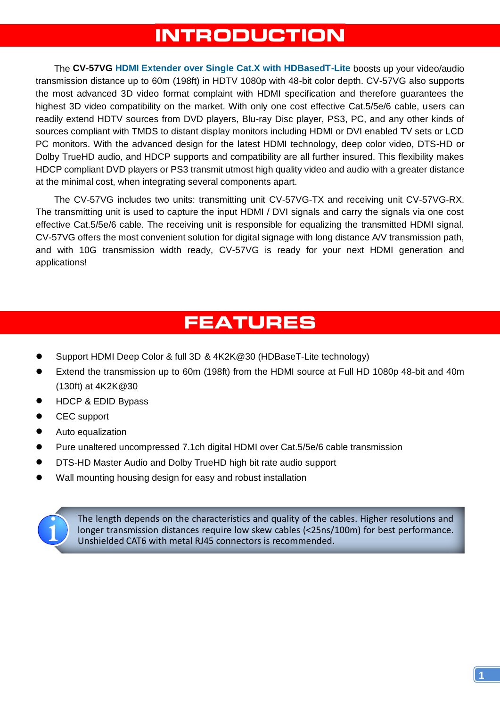### **INTRODUCTION**

<span id="page-2-0"></span>The **CV-57VG HDMI Extender over Single Cat.X with HDBasedT-Lite** boosts up your video/audio transmission distance up to 60m (198ft) in HDTV 1080p with 48-bit color depth. CV-57VG also supports the most advanced 3D video format complaint with HDMI specification and therefore guarantees the highest 3D video compatibility on the market. With only one cost effective Cat.5/5e/6 cable, users can readily extend HDTV sources from DVD players, Blu-ray Disc player, PS3, PC, and any other kinds of sources compliant with TMDS to distant display monitors including HDMI or DVI enabled TV sets or LCD PC monitors. With the advanced design for the latest HDMI technology, deep color video, DTS-HD or Dolby TrueHD audio, and HDCP supports and compatibility are all further insured. This flexibility makes HDCP compliant DVD players or PS3 transmit utmost high quality video and audio with a greater distance at the minimal cost, when integrating several components apart.

The CV-57VG includes two units: transmitting unit CV-57VG-TX and receiving unit CV-57VG-RX. The transmitting unit is used to capture the input HDMI / DVI signals and carry the signals via one cost effective Cat.5/5e/6 cable. The receiving unit is responsible for equalizing the transmitted HDMI signal. CV-57VG offers the most convenient solution for digital signage with long distance A/V transmission path, and with 10G transmission width ready, CV-57VG is ready for your next HDMI generation and applications!

## **FEATURES**

- <span id="page-2-1"></span>Support HDMI Deep Color & full 3D & 4K2K@30 (HDBaseT-Lite technology)
- Extend the transmission up to 60m (198ft) from the HDMI source at Full HD 1080p 48-bit and 40m (130ft) at 4K2K@30
- HDCP & EDID Bypass
- CEC support
- Auto equalization
- Pure unaltered uncompressed 7.1ch digital HDMI over Cat.5/5e/6 cable transmission
- DTS-HD Master Audio and Dolby TrueHD high bit rate audio support
- Wall mounting housing design for easy and robust installation



The length depends on the characteristics and quality of the cables. Higher resolutions and longer transmission distances require low skew cables (<25ns/100m) for best performance. Unshielded CAT6 with metal RJ45 connectors is recommended.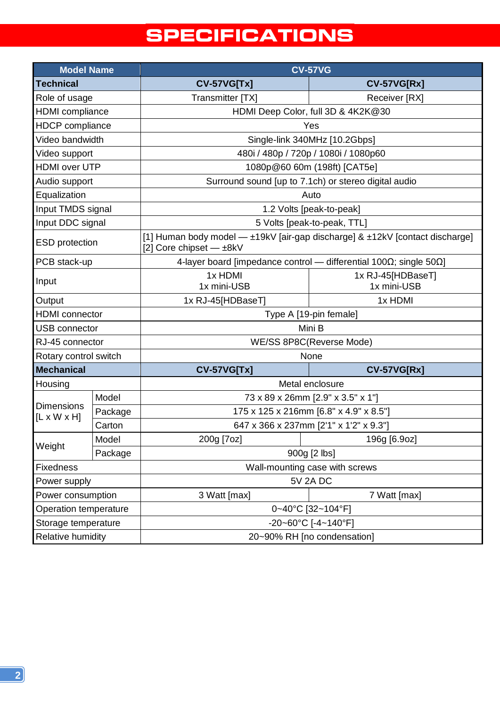# **SPECIFICATIONS**

<span id="page-3-0"></span>

| <b>Model Name</b>                            |         | <b>CV-57VG</b>                                                                                          |                                  |  |
|----------------------------------------------|---------|---------------------------------------------------------------------------------------------------------|----------------------------------|--|
| <b>Technical</b>                             |         | <b>CV-57VG[Tx]</b>                                                                                      | <b>CV-57VG[Rx]</b>               |  |
| Role of usage                                |         | Transmitter [TX]                                                                                        | Receiver [RX]                    |  |
| <b>HDMI</b> compliance                       |         | HDMI Deep Color, full 3D & 4K2K@30                                                                      |                                  |  |
| <b>HDCP</b> compliance                       |         | Yes                                                                                                     |                                  |  |
| Video bandwidth                              |         | Single-link 340MHz [10.2Gbps]                                                                           |                                  |  |
| Video support                                |         | 480i / 480p / 720p / 1080i / 1080p60                                                                    |                                  |  |
| <b>HDMI</b> over UTP                         |         | 1080p@60 60m (198ft) [CAT5e]                                                                            |                                  |  |
| Audio support                                |         | Surround sound [up to 7.1ch) or stereo digital audio                                                    |                                  |  |
| Equalization                                 |         | Auto                                                                                                    |                                  |  |
| Input TMDS signal                            |         | 1.2 Volts [peak-to-peak]                                                                                |                                  |  |
| Input DDC signal                             |         | 5 Volts [peak-to-peak, TTL]                                                                             |                                  |  |
| <b>ESD</b> protection                        |         | [1] Human body model — ±19kV [air-gap discharge] & ±12kV [contact discharge]<br>[2] Core chipset - ±8kV |                                  |  |
| PCB stack-up                                 |         | 4-layer board [impedance control – differential 100 $\Omega$ ; single 50 $\Omega$ ]                     |                                  |  |
| Input                                        |         | 1x HDMI<br>1x mini-USB                                                                                  | 1x RJ-45[HDBaseT]<br>1x mini-USB |  |
| Output                                       |         | 1x RJ-45[HDBaseT]                                                                                       | 1x HDMI                          |  |
| <b>HDMI</b> connector                        |         | Type A [19-pin female]                                                                                  |                                  |  |
| <b>USB</b> connector                         |         | Mini B                                                                                                  |                                  |  |
| RJ-45 connector                              |         | WE/SS 8P8C(Reverse Mode)                                                                                |                                  |  |
| Rotary control switch                        |         | None                                                                                                    |                                  |  |
| <b>Mechanical</b>                            |         | <b>CV-57VG[Tx]</b>                                                                                      | <b>CV-57VG[Rx]</b>               |  |
| Housing                                      |         | Metal enclosure                                                                                         |                                  |  |
| <b>Dimensions</b><br>$[L \times W \times H]$ | Model   | 73 x 89 x 26mm [2.9" x 3.5" x 1"]                                                                       |                                  |  |
|                                              | Package | 175 x 125 x 216mm [6.8" x 4.9" x 8.5"]                                                                  |                                  |  |
|                                              | Carton  | 647 x 366 x 237mm [2'1" x 1'2" x 9.3"]                                                                  |                                  |  |
| Weight                                       | Model   | 200g [7oz]                                                                                              | 196g [6.9oz]                     |  |
|                                              | Package | 900g [2 lbs]                                                                                            |                                  |  |
| Fixedness                                    |         | Wall-mounting case with screws                                                                          |                                  |  |
| Power supply                                 |         | <b>5V 2A DC</b>                                                                                         |                                  |  |
| Power consumption                            |         | 3 Watt [max]                                                                                            | 7 Watt [max]                     |  |
| Operation temperature                        |         | 0~40°C [32~104°F]                                                                                       |                                  |  |
| Storage temperature                          |         | -20~60°C [-4~140°F]                                                                                     |                                  |  |
| Relative humidity                            |         | 20~90% RH [no condensation]                                                                             |                                  |  |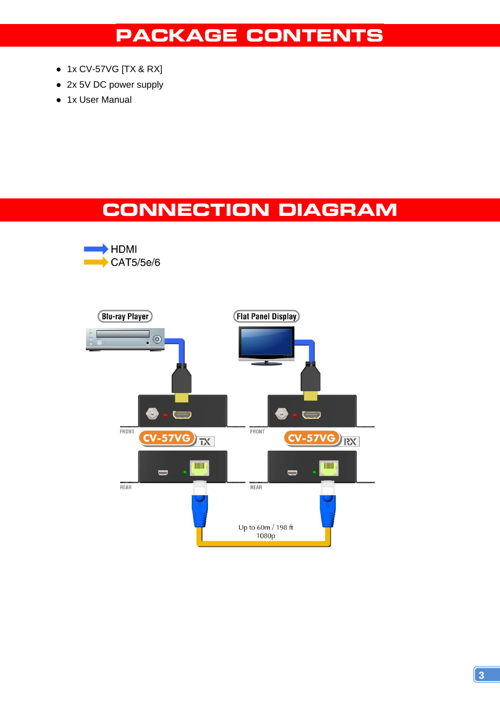### **PACKAGE CONTENTS**

- <span id="page-4-0"></span>● 1x CV-57VG [TX & RX]
- 2x 5V DC power supply
- 1x User Manual

## **CONNECTION DIAGRAM**

<span id="page-4-1"></span>

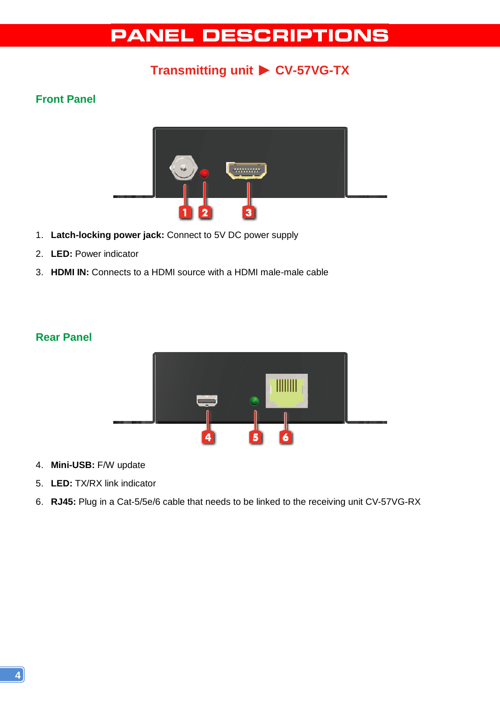## **PANEL DESCRIPTIONS**

### **Transmitting unit** ► **CV-57VG-TX**

#### <span id="page-5-1"></span><span id="page-5-0"></span>**Front Panel**



- 1. **Latch-locking power jack:** Connect to 5V DC power supply
- 2. **LED:** Power indicator
- 3. **HDMI IN:** Connects to a HDMI source with a HDMI male-male cable

#### **Rear Panel**



- 4. **Mini-USB:** F/W update
- 5. **LED:** TX/RX link indicator
- 6. **RJ45:** Plug in a Cat-5/5e/6 cable that needs to be linked to the receiving unit CV-57VG-RX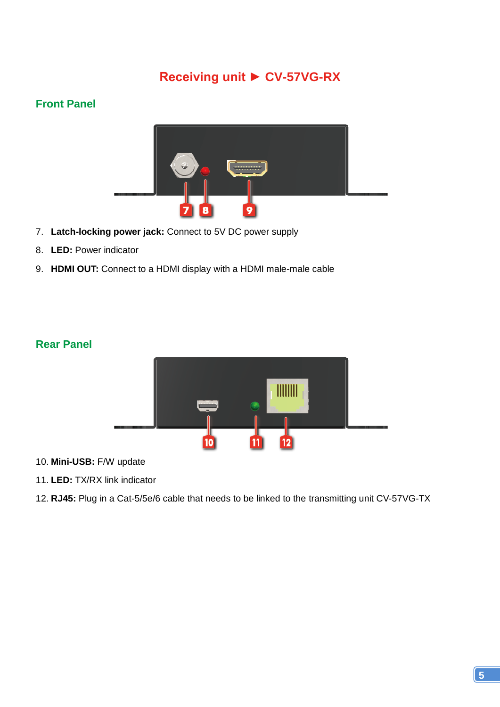### **Receiving unit ► CV-57VG-RX**

#### <span id="page-6-0"></span>**Front Panel**



- 7. **Latch-locking power jack:** Connect to 5V DC power supply
- 8. **LED:** Power indicator
- 9. **HDMI OUT:** Connect to a HDMI display with a HDMI male-male cable

#### **Rear Panel**



- 10. **Mini-USB:** F/W update
- 11. **LED:** TX/RX link indicator
- 12. **RJ45:** Plug in a Cat-5/5e/6 cable that needs to be linked to the transmitting unit CV-57VG-TX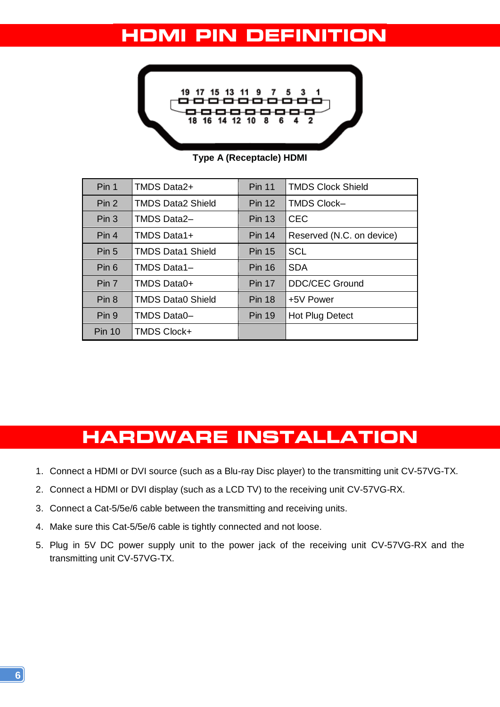### <span id="page-7-0"></span>**HDMI PIN DEFINITION**



**Type A (Receptacle) HDMI**

| Pin 1            | TMDS Data2+              | <b>Pin 11</b> | <b>TMDS Clock Shield</b>  |
|------------------|--------------------------|---------------|---------------------------|
| Pin <sub>2</sub> | <b>TMDS Data2 Shield</b> | <b>Pin 12</b> | <b>TMDS Clock-</b>        |
| Pin <sub>3</sub> | <b>TMDS Data2-</b>       | <b>Pin 13</b> | <b>CEC</b>                |
| Pin 4            | TMDS Data1+              | <b>Pin 14</b> | Reserved (N.C. on device) |
| Pin <sub>5</sub> | <b>TMDS Data1 Shield</b> | <b>Pin 15</b> | <b>SCL</b>                |
| Pin 6            | TMDS Data1-              | <b>Pin 16</b> | <b>SDA</b>                |
| Pin 7            | TMDS Data0+              | <b>Pin 17</b> | <b>DDC/CEC Ground</b>     |
| Pin 8            | <b>TMDS Data0 Shield</b> | <b>Pin 18</b> | +5V Power                 |
| Pin 9            | TMDS Data0-              | <b>Pin 19</b> | Hot Plug Detect           |
| <b>Pin 10</b>    | <b>TMDS Clock+</b>       |               |                           |

### **HARDWARE INSTALLATION**

- <span id="page-7-1"></span>1. Connect a HDMI or DVI source (such as a Blu-ray Disc player) to the transmitting unit CV-57VG-TX.
- 2. Connect a HDMI or DVI display (such as a LCD TV) to the receiving unit CV-57VG-RX.
- 3. Connect a Cat-5/5e/6 cable between the transmitting and receiving units.
- 4. Make sure this Cat-5/5e/6 cable is tightly connected and not loose.
- 5. Plug in 5V DC power supply unit to the power jack of the receiving unit CV-57VG-RX and the transmitting unit CV-57VG-TX.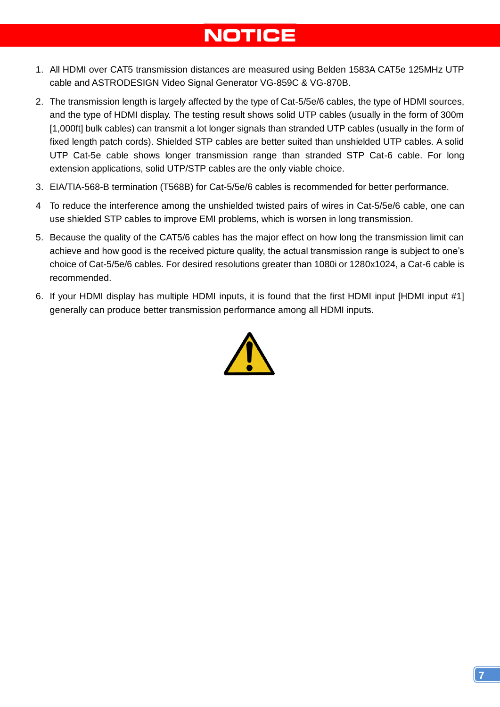# **NOTICE**

- <span id="page-8-0"></span>1. All HDMI over CAT5 transmission distances are measured using Belden 1583A CAT5e 125MHz UTP cable and ASTRODESIGN Video Signal Generator VG-859C & VG-870B.
- 2. The transmission length is largely affected by the type of Cat-5/5e/6 cables, the type of HDMI sources, and the type of HDMI display. The testing result shows solid UTP cables (usually in the form of 300m [1,000ft] bulk cables) can transmit a lot longer signals than stranded UTP cables (usually in the form of fixed length patch cords). Shielded STP cables are better suited than unshielded UTP cables. A solid UTP Cat-5e cable shows longer transmission range than stranded STP Cat-6 cable. For long extension applications, solid UTP/STP cables are the only viable choice.
- 3. EIA/TIA-568-B termination (T568B) for Cat-5/5e/6 cables is recommended for better performance.
- 4 To reduce the interference among the unshielded twisted pairs of wires in Cat-5/5e/6 cable, one can use shielded STP cables to improve EMI problems, which is worsen in long transmission.
- 5. Because the quality of the CAT5/6 cables has the major effect on how long the transmission limit can achieve and how good is the received picture quality, the actual transmission range is subject to one's choice of Cat-5/5e/6 cables. For desired resolutions greater than 1080i or 1280x1024, a Cat-6 cable is recommended.
- <span id="page-8-1"></span>6. If your HDMI display has multiple HDMI inputs, it is found that the first HDMI input [HDMI input #1] generally can produce better transmission performance among all HDMI inputs.